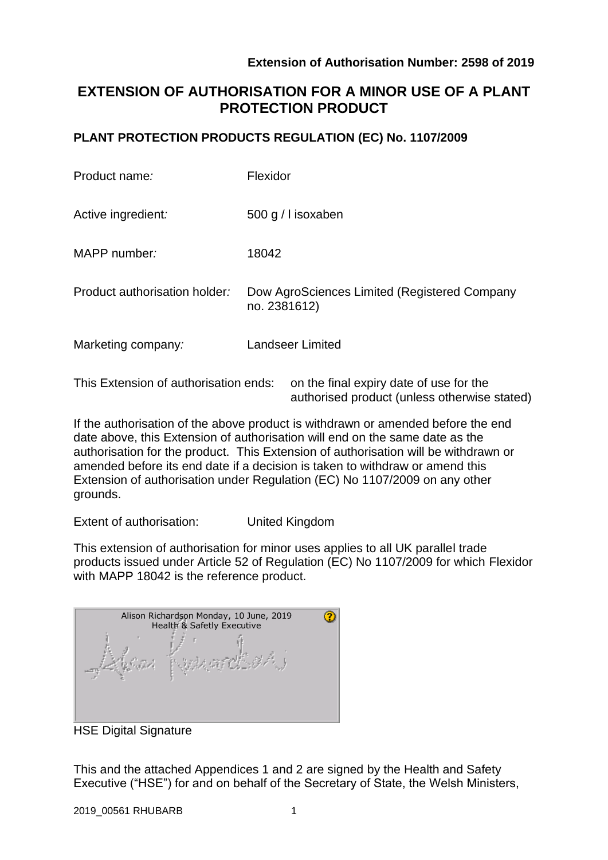authorised product (unless otherwise stated)

# **EXTENSION OF AUTHORISATION FOR A MINOR USE OF A PLANT PROTECTION PRODUCT**

## **PLANT PROTECTION PRODUCTS REGULATION (EC) No. 1107/2009**

| Product name:                         | Flexidor                                                     |
|---------------------------------------|--------------------------------------------------------------|
| Active ingredient:                    | 500 g / I isoxaben                                           |
| MAPP number:                          | 18042                                                        |
| Product authorisation holder:         | Dow AgroSciences Limited (Registered Company<br>no. 2381612) |
| Marketing company:                    | <b>Landseer Limited</b>                                      |
| This Extension of authorisation ends: | on the final expiry date of use for the                      |

If the authorisation of the above product is withdrawn or amended before the end date above, this Extension of authorisation will end on the same date as the authorisation for the product. This Extension of authorisation will be withdrawn or amended before its end date if a decision is taken to withdraw or amend this Extension of authorisation under Regulation (EC) No 1107/2009 on any other grounds.

Extent of authorisation: United Kingdom

This extension of authorisation for minor uses applies to all UK parallel trade products issued under Article 52 of Regulation (EC) No 1107/2009 for which Flexidor with MAPP 18042 is the reference product.

| Alison Richardson Monday, 10 June, 2019<br>Health & Safetly Executive |  |  |  |  |  |  |
|-----------------------------------------------------------------------|--|--|--|--|--|--|
|                                                                       |  |  |  |  |  |  |

HSE Digital Signature

This and the attached Appendices 1 and 2 are signed by the Health and Safety Executive ("HSE") for and on behalf of the Secretary of State, the Welsh Ministers,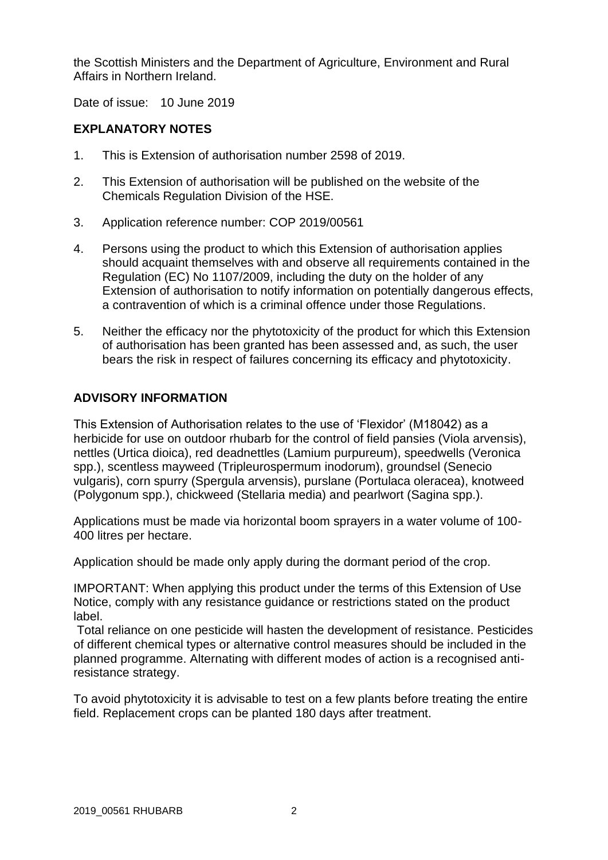the Scottish Ministers and the Department of Agriculture, Environment and Rural Affairs in Northern Ireland.

Date of issue: 10 June 2019

# **EXPLANATORY NOTES**

- 1. This is Extension of authorisation number 2598 of 2019.
- 2. This Extension of authorisation will be published on the website of the Chemicals Regulation Division of the HSE.
- 3. Application reference number: COP 2019/00561
- 4. Persons using the product to which this Extension of authorisation applies should acquaint themselves with and observe all requirements contained in the Regulation (EC) No 1107/2009, including the duty on the holder of any Extension of authorisation to notify information on potentially dangerous effects, a contravention of which is a criminal offence under those Regulations.
- 5. Neither the efficacy nor the phytotoxicity of the product for which this Extension of authorisation has been granted has been assessed and, as such, the user bears the risk in respect of failures concerning its efficacy and phytotoxicity.

## **ADVISORY INFORMATION**

This Extension of Authorisation relates to the use of 'Flexidor' (M18042) as a herbicide for use on outdoor rhubarb for the control of field pansies (Viola arvensis), nettles (Urtica dioica), red deadnettles (Lamium purpureum), speedwells (Veronica spp.), scentless mayweed (Tripleurospermum inodorum), groundsel (Senecio vulgaris), corn spurry (Spergula arvensis), purslane (Portulaca oleracea), knotweed (Polygonum spp.), chickweed (Stellaria media) and pearlwort (Sagina spp.).

Applications must be made via horizontal boom sprayers in a water volume of 100- 400 litres per hectare.

Application should be made only apply during the dormant period of the crop.

IMPORTANT: When applying this product under the terms of this Extension of Use Notice, comply with any resistance guidance or restrictions stated on the product label.

Total reliance on one pesticide will hasten the development of resistance. Pesticides of different chemical types or alternative control measures should be included in the planned programme. Alternating with different modes of action is a recognised antiresistance strategy.

To avoid phytotoxicity it is advisable to test on a few plants before treating the entire field. Replacement crops can be planted 180 days after treatment.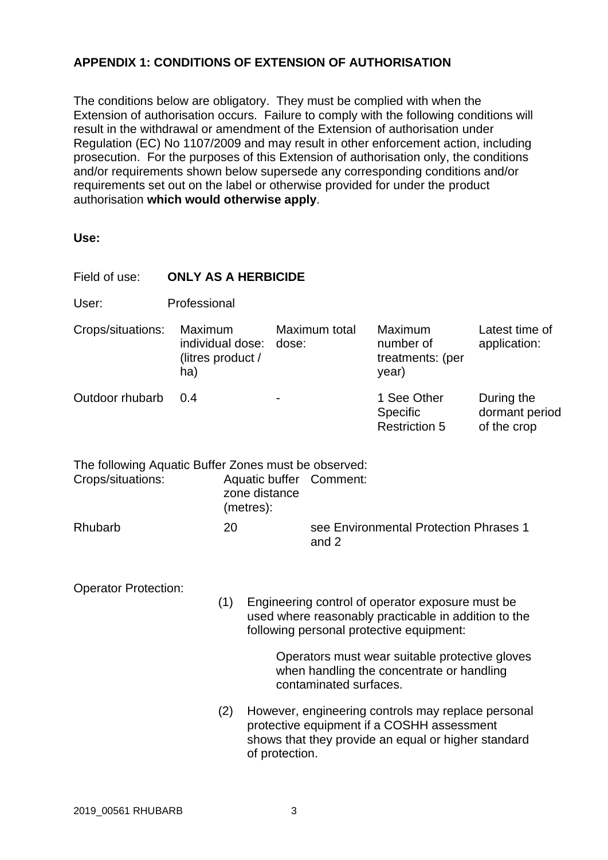# **APPENDIX 1: CONDITIONS OF EXTENSION OF AUTHORISATION**

The conditions below are obligatory. They must be complied with when the Extension of authorisation occurs. Failure to comply with the following conditions will result in the withdrawal or amendment of the Extension of authorisation under Regulation (EC) No 1107/2009 and may result in other enforcement action, including prosecution. For the purposes of this Extension of authorisation only, the conditions and/or requirements shown below supersede any corresponding conditions and/or requirements set out on the label or otherwise provided for under the product authorisation **which would otherwise apply**.

| Field of use:                                                             | <b>ONLY AS A HERBICIDE</b>                              |                                                                                                                                                                           |                                                 |                                                                                                                                                                                                                                                     |                                             |  |  |  |
|---------------------------------------------------------------------------|---------------------------------------------------------|---------------------------------------------------------------------------------------------------------------------------------------------------------------------------|-------------------------------------------------|-----------------------------------------------------------------------------------------------------------------------------------------------------------------------------------------------------------------------------------------------------|---------------------------------------------|--|--|--|
| User:                                                                     | Professional                                            |                                                                                                                                                                           |                                                 |                                                                                                                                                                                                                                                     |                                             |  |  |  |
| Crops/situations:                                                         | Maximum<br>individual dose:<br>(litres product /<br>ha) | dose:                                                                                                                                                                     | Maximum total                                   | Maximum<br>number of<br>treatments: (per<br>year)                                                                                                                                                                                                   | Latest time of<br>application:              |  |  |  |
| Outdoor rhubarb                                                           | 0.4                                                     |                                                                                                                                                                           |                                                 | 1 See Other<br>Specific<br><b>Restriction 5</b>                                                                                                                                                                                                     | During the<br>dormant period<br>of the crop |  |  |  |
| The following Aquatic Buffer Zones must be observed:<br>Crops/situations: |                                                         | Aquatic buffer Comment:<br>zone distance<br>(metres):                                                                                                                     |                                                 |                                                                                                                                                                                                                                                     |                                             |  |  |  |
| Rhubarb                                                                   | 20                                                      |                                                                                                                                                                           | see Environmental Protection Phrases 1<br>and 2 |                                                                                                                                                                                                                                                     |                                             |  |  |  |
| <b>Operator Protection:</b>                                               | (1)                                                     |                                                                                                                                                                           | contaminated surfaces.                          | Engineering control of operator exposure must be<br>used where reasonably practicable in addition to the<br>following personal protective equipment:<br>Operators must wear suitable protective gloves<br>when handling the concentrate or handling |                                             |  |  |  |
|                                                                           |                                                         | However, engineering controls may replace personal<br>protective equipment if a COSHH assessment<br>shows that they provide an equal or higher standard<br>of protection. |                                                 |                                                                                                                                                                                                                                                     |                                             |  |  |  |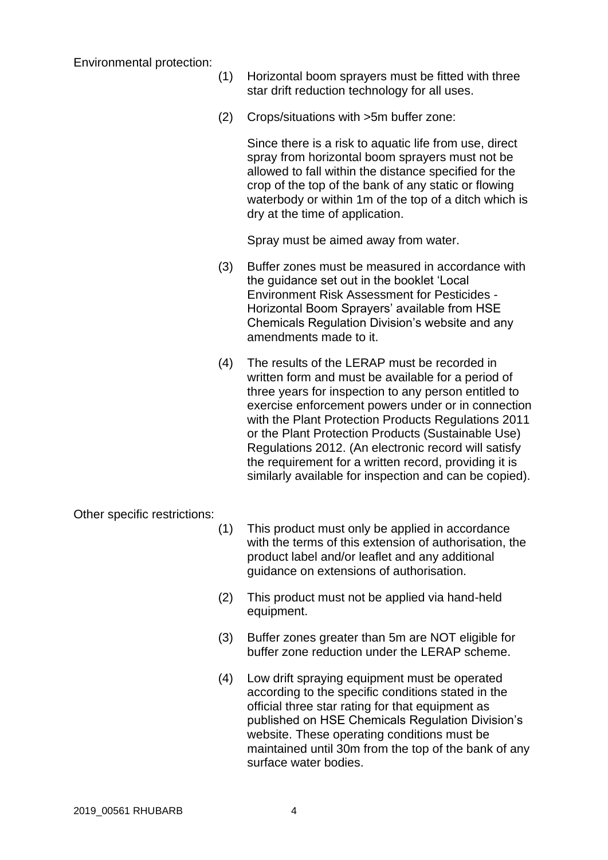Environmental protection:

- (1) Horizontal boom sprayers must be fitted with three star drift reduction technology for all uses.
- (2) Crops/situations with >5m buffer zone:

Since there is a risk to aquatic life from use, direct spray from horizontal boom sprayers must not be allowed to fall within the distance specified for the crop of the top of the bank of any static or flowing waterbody or within 1m of the top of a ditch which is dry at the time of application.

Spray must be aimed away from water.

- (3) Buffer zones must be measured in accordance with the guidance set out in the booklet 'Local Environment Risk Assessment for Pesticides - Horizontal Boom Sprayers' available from HSE Chemicals Regulation Division's website and any amendments made to it.
- (4) The results of the LERAP must be recorded in written form and must be available for a period of three years for inspection to any person entitled to exercise enforcement powers under or in connection with the Plant Protection Products Regulations 2011 or the Plant Protection Products (Sustainable Use) Regulations 2012. (An electronic record will satisfy the requirement for a written record, providing it is similarly available for inspection and can be copied).

Other specific restrictions:

- (1) This product must only be applied in accordance with the terms of this extension of authorisation, the product label and/or leaflet and any additional guidance on extensions of authorisation.
- (2) This product must not be applied via hand-held equipment.
- (3) Buffer zones greater than 5m are NOT eligible for buffer zone reduction under the LERAP scheme.
- (4) Low drift spraying equipment must be operated according to the specific conditions stated in the official three star rating for that equipment as published on HSE Chemicals Regulation Division's website. These operating conditions must be maintained until 30m from the top of the bank of any surface water bodies.